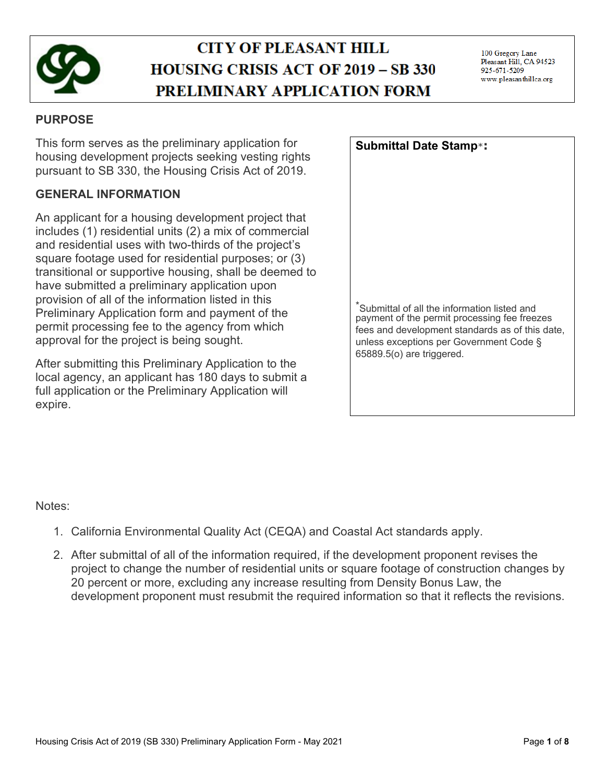

# **CITY OF PLEASANT HILL HOUSING CRISIS ACT OF 2019 - SB 330** PRELIMINARY APPLICATION FORM

# **PURPOSE**

This form serves as the preliminary application for housing development projects seeking vesting rights pursuant to SB 330, the Housing Crisis Act of 2019.

# **GENERAL INFORMATION**

An applicant for a housing development project that includes (1) residential units (2) a mix of commercial and residential uses with two-thirds of the project's square footage used for residential purposes; or (3) transitional or supportive housing, shall be deemed to have submitted a preliminary application upon provision of all of the information listed in this Preliminary Application form and payment of the permit processing fee to the agency from which approval for the project is being sought.

After submitting this Preliminary Application to the local agency, an applicant has 180 days to submit a full application or the Preliminary Application will expire.

| <b>Submittal Date Stamp*:</b>                                                                                                                                                                                           |
|-------------------------------------------------------------------------------------------------------------------------------------------------------------------------------------------------------------------------|
|                                                                                                                                                                                                                         |
|                                                                                                                                                                                                                         |
|                                                                                                                                                                                                                         |
|                                                                                                                                                                                                                         |
|                                                                                                                                                                                                                         |
| *Submittal of all the information listed and<br>payment of the permit processing fee freezes<br>fees and development standards as of this date,<br>unless exceptions per Government Code §<br>65889.5(o) are triggered. |
|                                                                                                                                                                                                                         |

## Notes:

- 1. California Environmental Quality Act (CEQA) and Coastal Act standards apply.
- 2. After submittal of all of the information required, if the development proponent revises the project to change the number of residential units or square footage of construction changes by 20 percent or more, excluding any increase resulting from Density Bonus Law, the development proponent must resubmit the required information so that it reflects the revisions.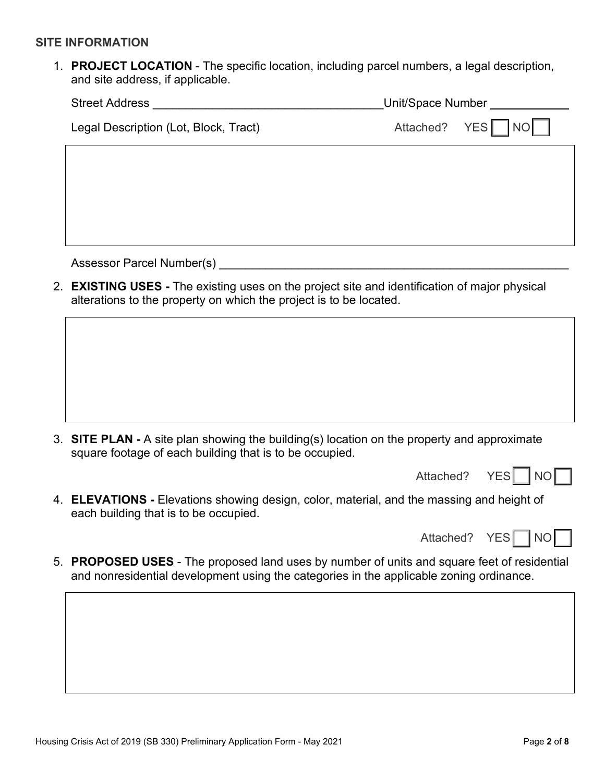#### **SITE INFORMATION**

1. **PROJECT LOCATION** - The specific location, including parcel numbers, a legal description, and site address, if applicable.

| <b>Street Address</b>                 | Unit/Space Number |  |  |
|---------------------------------------|-------------------|--|--|
| Legal Description (Lot, Block, Tract) | Attached? YES NO  |  |  |
|                                       |                   |  |  |
|                                       |                   |  |  |
|                                       |                   |  |  |
|                                       |                   |  |  |

Assessor Parcel Number(s) example the state of the state of the state of the state of the state of the state of the state of the state of the state of the state of the state of the state of the state of the state of the st

2. **EXISTING USES -** The existing uses on the project site and identification of major physical alterations to the property on which the project is to be located.

3. **SITE PLAN -** A site plan showing the building(s) location on the property and approximate square footage of each building that is to be occupied.

Attached? YES | NO

4. **ELEVATIONS -** Elevations showing design, color, material, and the massing and height of each building that is to be occupied.

| 1 NO I<br>YESI<br>Attached? |  |  |  |  |  |
|-----------------------------|--|--|--|--|--|
|-----------------------------|--|--|--|--|--|

5. **PROPOSED USES** - The proposed land uses by number of units and square feet of residential and nonresidential development using the categories in the applicable zoning ordinance.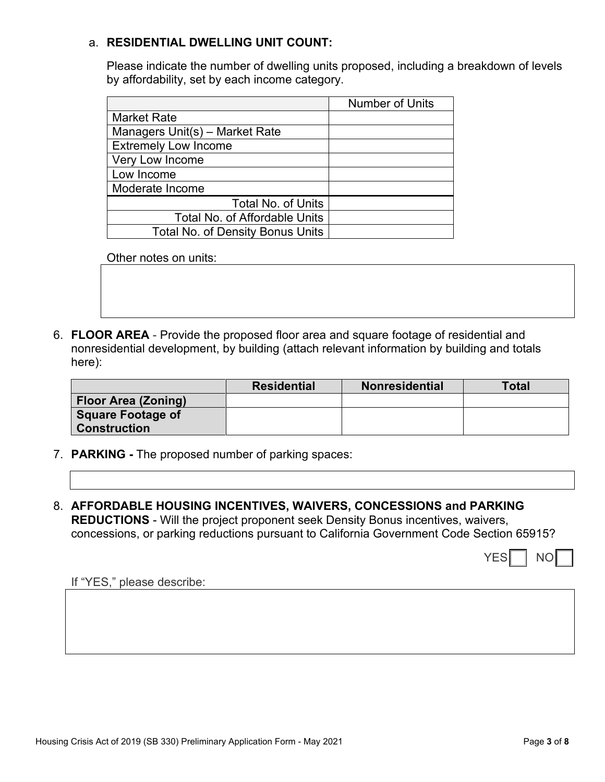## a. **RESIDENTIAL DWELLING UNIT COUNT:**

Please indicate the number of dwelling units proposed, including a breakdown of levels by affordability, set by each income category.

|                                         | <b>Number of Units</b> |
|-----------------------------------------|------------------------|
| <b>Market Rate</b>                      |                        |
| Managers Unit(s) – Market Rate          |                        |
| <b>Extremely Low Income</b>             |                        |
| Very Low Income                         |                        |
| Low Income                              |                        |
| Moderate Income                         |                        |
| <b>Total No. of Units</b>               |                        |
| <b>Total No. of Affordable Units</b>    |                        |
| <b>Total No. of Density Bonus Units</b> |                        |

Other notes on units:

6. **FLOOR AREA** - Provide the proposed floor area and square footage of residential and nonresidential development, by building (attach relevant information by building and totals here):

|                     | <b>Residential</b> | <b>Nonresidential</b> | <b>Total</b> |
|---------------------|--------------------|-----------------------|--------------|
| Floor Area (Zoning) |                    |                       |              |
| Square Footage of   |                    |                       |              |
| <b>Construction</b> |                    |                       |              |

- 7. **PARKING** The proposed number of parking spaces:
- 8. **AFFORDABLE HOUSING INCENTIVES, WAIVERS, CONCESSIONS and PARKING REDUCTIONS** - Will the project proponent seek Density Bonus incentives, waivers, concessions, or parking reductions pursuant to California Government Code Section 65915?

YES NO

If "YES," please describe: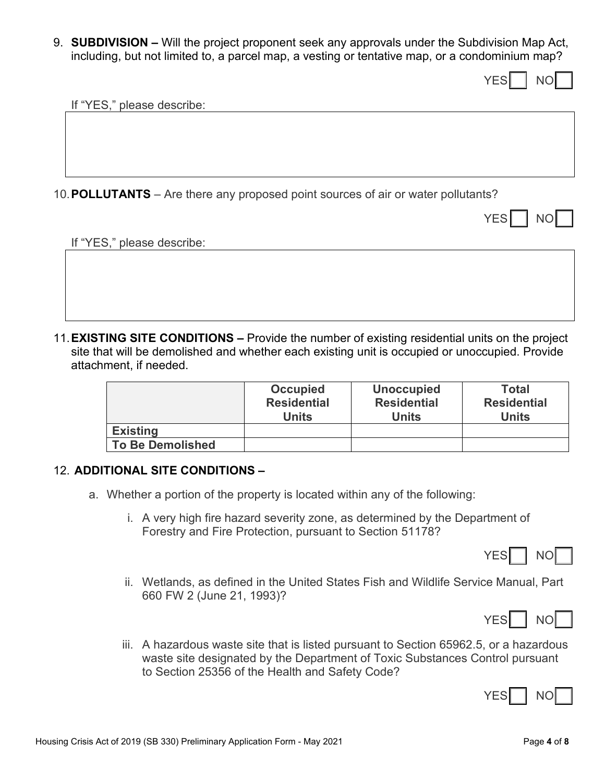9. **SUBDIVISION –** Will the project proponent seek any approvals under the Subdivision Map Act, including, but not limited to, a parcel map, a vesting or tentative map, or a condominium map?

YES I NO

If "YES," please describe:

10.**POLLUTANTS** – Are there any proposed point sources of air or water pollutants?

|  |  | т |  |
|--|--|---|--|
|--|--|---|--|

If "YES," please describe:

11.**EXISTING SITE CONDITIONS –** Provide the number of existing residential units on the project site that will be demolished and whether each existing unit is occupied or unoccupied. Provide attachment, if needed.

|                         | <b>Occupied</b><br><b>Residential</b><br><b>Units</b> | <b>Unoccupied</b><br><b>Residential</b><br>Units | <b>Total</b><br><b>Residential</b><br><b>Units</b> |
|-------------------------|-------------------------------------------------------|--------------------------------------------------|----------------------------------------------------|
| <b>Existing</b>         |                                                       |                                                  |                                                    |
| <b>To Be Demolished</b> |                                                       |                                                  |                                                    |

#### 12. **ADDITIONAL SITE CONDITIONS –**

- a. Whether a portion of the property is located within any of the following:
	- i. A very high fire hazard severity zone, as determined by the Department of Forestry and Fire Protection, pursuant to Section 51178?



ii. Wetlands, as defined in the United States Fish and Wildlife Service Manual, Part 660 FW 2 (June 21, 1993)?



iii. A hazardous waste site that is listed pursuant to Section 65962.5, or a hazardous waste site designated by the Department of Toxic Substances Control pursuant to Section 25356 of the Health and Safety Code?

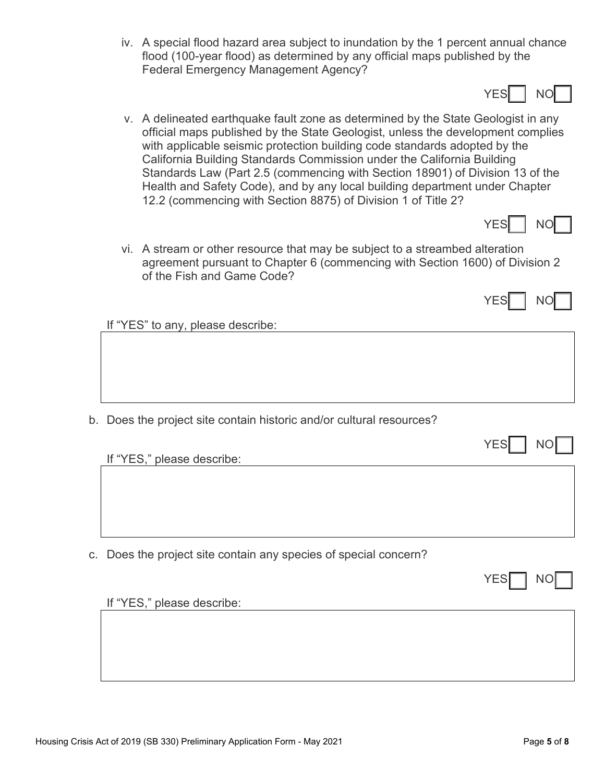- iv. A special flood hazard area subject to inundation by the 1 percent annual chance flood (100-year flood) as determined by any official maps published by the Federal Emergency Management Agency?
- v. A delineated earthquake fault zone as determined by the State Geologist in any official maps published by the State Geologist, unless the development complies with applicable seismic protection building code standards adopted by the California Building Standards Commission under the California Building Standards Law (Part 2.5 (commencing with Section 18901) of Division 13 of the Health and Safety Code), and by any local building department under Chapter 12.2 (commencing with Section 8875) of Division 1 of Title 2?



YES INO

vi. A stream or other resource that may be subject to a streambed alteration agreement pursuant to Chapter 6 (commencing with Section 1600) of Division 2 of the Fish and Game Code?



If "YES" to any, please describe:

b. Does the project site contain historic and/or cultural resources?

If "YES," please describe:

c. Does the project site contain any species of special concern?

If "YES," please describe: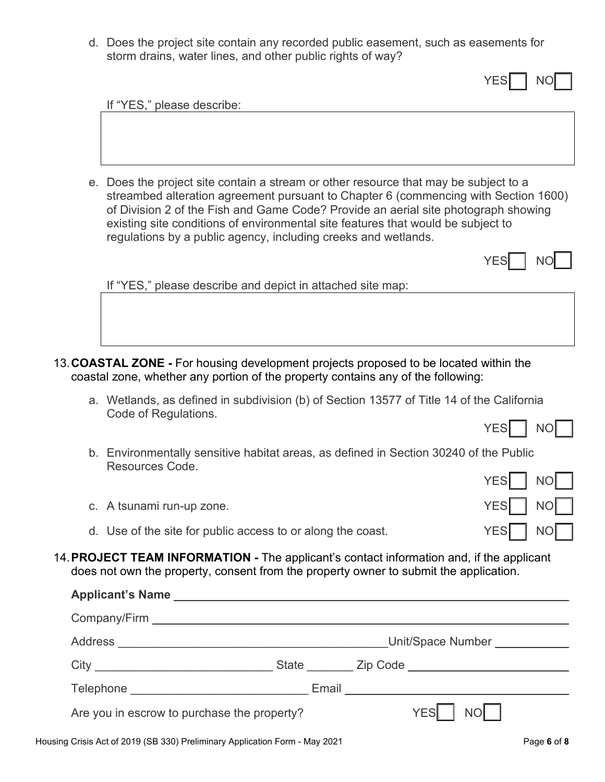d. Does the project site contain any recorded public easement, such as easements for storm drains, water lines, and other public rights of way?

| If "YES," please describe:                                                                                                                                                                                                                                                                                                                                                                                              |
|-------------------------------------------------------------------------------------------------------------------------------------------------------------------------------------------------------------------------------------------------------------------------------------------------------------------------------------------------------------------------------------------------------------------------|
|                                                                                                                                                                                                                                                                                                                                                                                                                         |
| e. Does the project site contain a stream or other resource that may be subject to a<br>streambed alteration agreement pursuant to Chapter 6 (commencing with Section 1600)<br>of Division 2 of the Fish and Game Code? Provide an aerial site photograph showing<br>existing site conditions of environmental site features that would be subject to<br>regulations by a public agency, including creeks and wetlands. |
| <b>YES</b>                                                                                                                                                                                                                                                                                                                                                                                                              |
| If "YES," please describe and depict in attached site map:                                                                                                                                                                                                                                                                                                                                                              |
|                                                                                                                                                                                                                                                                                                                                                                                                                         |
| 13. COASTAL ZONE - For housing development projects proposed to be located within the<br>coastal zone, whether any portion of the property contains any of the following:                                                                                                                                                                                                                                               |
| a. Wetlands, as defined in subdivision (b) of Section 13577 of Title 14 of the California                                                                                                                                                                                                                                                                                                                               |
| Code of Regulations.<br><b>YES</b><br>NΟ                                                                                                                                                                                                                                                                                                                                                                                |
| b. Environmentally sensitive habitat areas, as defined in Section 30240 of the Public<br>Resources Code.                                                                                                                                                                                                                                                                                                                |
| $v = 1$ $v = 1$                                                                                                                                                                                                                                                                                                                                                                                                         |

- YES $\parallel$  NO $\parallel$   $\parallel$ c. A tsunami run-up zone.  $YES$  NO d. Use of the site for public access to or along the coast.  $YES \nightharpoonup \nightharpoonup YES \nightharpoonup \nightharpoonup \nightharpoonup YES$
- 14.**PROJECT TEAM INFORMATION** The applicant's contact information and, if the applicant does not own the property, consent from the property owner to submit the application.

| Applicant's Name experience and a series of the series of the series of the series of the series of the series |  |                                       |
|----------------------------------------------------------------------------------------------------------------|--|---------------------------------------|
|                                                                                                                |  |                                       |
|                                                                                                                |  | Unit/Space Number                     |
|                                                                                                                |  |                                       |
|                                                                                                                |  | Email <u>________________________</u> |
| Are you in escrow to purchase the property?                                                                    |  | NO <b>NO</b><br>YES                   |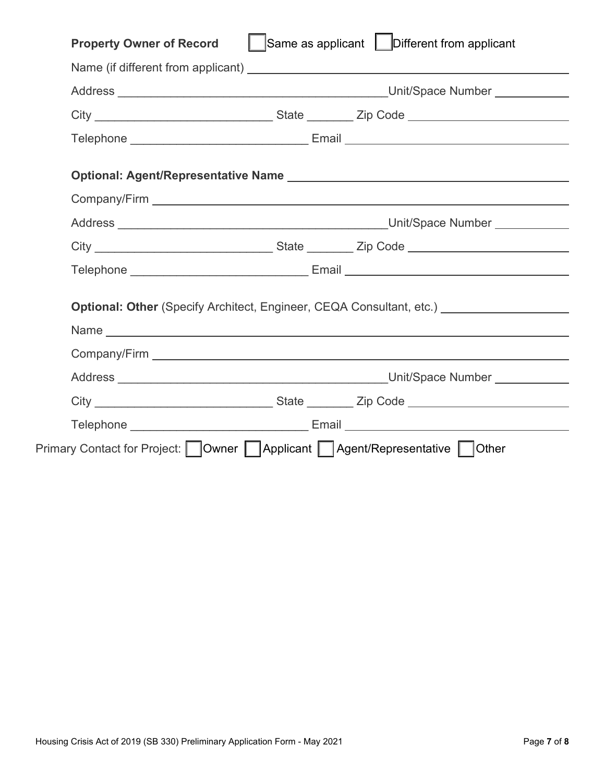| City ___________________________________State __________ Zip Code _________________________________ |
|-----------------------------------------------------------------------------------------------------|
| Telephone _________________________________ Email ______________________________                    |
|                                                                                                     |
| <b>Optional: Other</b> (Specify Architect, Engineer, CEQA Consultant, etc.) <b>CONFIDENT</b>        |
|                                                                                                     |
| City ___________________________________State __________ Zip Code _________________________________ |